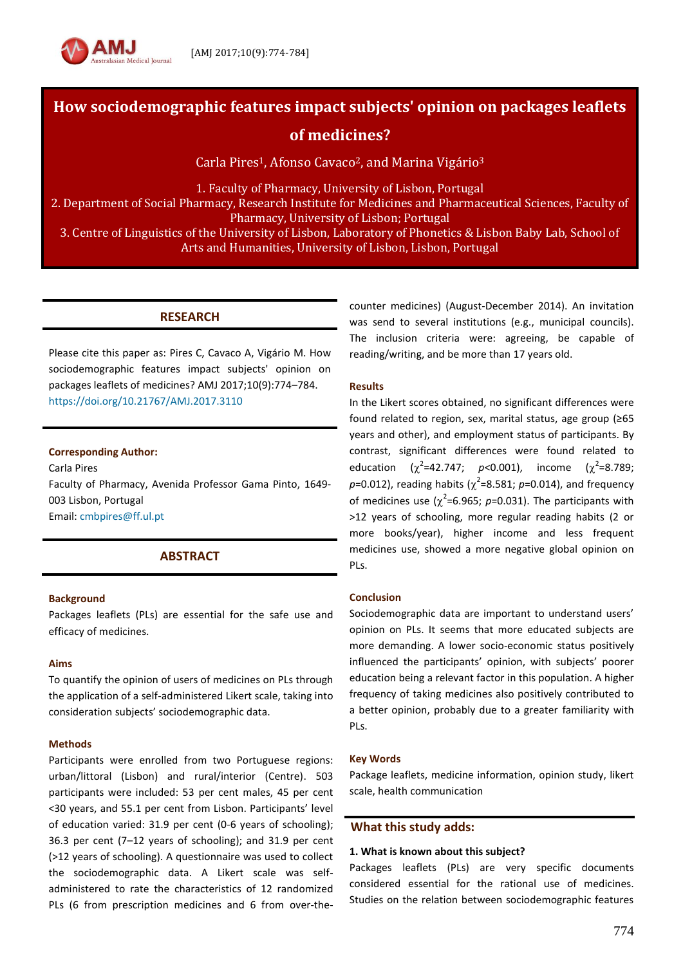

# **How sociodemographic features impact subjects' opinion on packages leaflets**

**of medicines?**

Carla Pires<sup>1</sup>, Afonso Cavaco<sup>2</sup>, and Marina Vigário<sup>3</sup>

1. Faculty of Pharmacy, University of Lisbon, Portugal

2. Department of Social Pharmacy, Research Institute for Medicines and Pharmaceutical Sciences, Faculty of Pharmacy, University of Lisbon; Portugal

3. Centre of Linguistics of the University of Lisbon, Laboratory of Phonetics & Lisbon Baby Lab, School of Arts and Humanities, University of Lisbon, Lisbon, Portugal

# **RESEARCH**

Please cite this paper as: Pires C, Cavaco A, Vigário M. How sociodemographic features impact subjects' opinion on packages leaflets of medicines? AMJ 2017;10(9):774–784. <https://doi.org/10.21767/AMJ.2017.3110>

**Corresponding Author:**

Carla Pires Faculty of Pharmacy, Avenida Professor Gama Pinto, 1649- 003 Lisbon, Portugal Email: [cmbpires@ff.ul.pt](mailto:cmbpires@ff.ul.pt)

# **ABSTRACT**

## **Background**

Packages leaflets (PLs) are essential for the safe use and efficacy of medicines.

## **Aims**

To quantify the opinion of users of medicines on PLs through the application of a self-administered Likert scale, taking into consideration subjects' sociodemographic data.

## **Methods**

Participants were enrolled from two Portuguese regions: urban/littoral (Lisbon) and rural/interior (Centre). 503 participants were included: 53 per cent males, 45 per cent <30 years, and 55.1 per cent from Lisbon. Participants' level of education varied: 31.9 per cent (0-6 years of schooling); 36.3 per cent (7–12 years of schooling); and 31.9 per cent (>12 years of schooling). A questionnaire was used to collect the sociodemographic data. A Likert scale was selfadministered to rate the characteristics of 12 randomized PLs (6 from prescription medicines and 6 from over-thecounter medicines) (August-December 2014). An invitation was send to several institutions (e.g., municipal councils). The inclusion criteria were: agreeing, be capable of reading/writing, and be more than 17 years old.

## **Results**

In the Likert scores obtained, no significant differences were found related to region, sex, marital status, age group (≥65 years and other), and employment status of participants. By contrast, significant differences were found related to education  $^2$ =42.747; *p*<0.001), income ( $\chi^2$ =8.789;  $p$ =0.012), reading habits ( $\chi^2$ =8.581;  $p$ =0.014), and frequency of medicines use  $(\chi^2=6.965; p=0.031)$ . The participants with >12 years of schooling, more regular reading habits (2 or more books/year), higher income and less frequent medicines use, showed a more negative global opinion on PLs.

## **Conclusion**

Sociodemographic data are important to understand users' opinion on PLs. It seems that more educated subjects are more demanding. A lower socio-economic status positively influenced the participants' opinion, with subjects' poorer education being a relevant factor in this population. A higher frequency of taking medicines also positively contributed to a better opinion, probably due to a greater familiarity with PLs.

### **Key Words**

Package leaflets, medicine information, opinion study, likert scale, health communication

## **What this study adds:**

### **1. What is known about this subject?**

Packages leaflets (PLs) are very specific documents considered essential for the rational use of medicines. Studies on the relation between sociodemographic features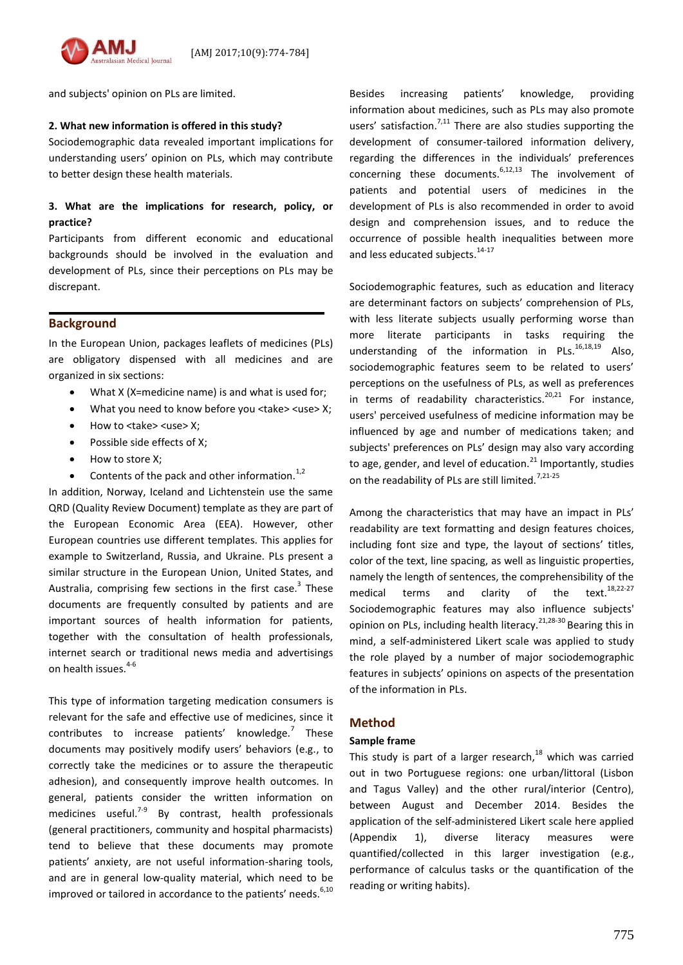

and subjects' opinion on PLs are limited.

### **2. What new information is offered in this study?**

Sociodemographic data revealed important implications for understanding users' opinion on PLs, which may contribute to better design these health materials.

## **3. What are the implications for research, policy, or practice?**

Participants from different economic and educational backgrounds should be involved in the evaluation and development of PLs, since their perceptions on PLs may be discrepant.

## **Background**

In the European Union, packages leaflets of medicines (PLs) are obligatory dispensed with all medicines and are organized in six sections:

- What X (X=medicine name) is and what is used for;
- What you need to know before you <take> <use> X;
- How to <take> <use> X;
- Possible side effects of X;
- How to store X;
- Contents of the pack and other information. $1,2$

In addition, Norway, Iceland and Lichtenstein use the same QRD (Quality Review Document) template as they are part of the European Economic Area (EEA). However, other European countries use different templates. This applies for example to Switzerland, Russia, and Ukraine. PLs present a similar structure in the European Union, United States, and Australia, comprising few sections in the first case.<sup>3</sup> These documents are frequently consulted by patients and are important sources of health information for patients, together with the consultation of health professionals, internet search or traditional news media and advertisings on health issues.<sup>4-6</sup>

This type of information targeting medication consumers is relevant for the safe and effective use of medicines, since it contributes to increase patients' knowledge.<sup>7</sup> These documents may positively modify users' behaviors (e.g., to correctly take the medicines or to assure the therapeutic adhesion), and consequently improve health outcomes. In general, patients consider the written information on medicines useful.<sup>7-9</sup> By contrast, health professionals (general practitioners, community and hospital pharmacists) tend to believe that these documents may promote patients' anxiety, are not useful information-sharing tools, and are in general low-quality material, which need to be improved or tailored in accordance to the patients' needs. $6,10$ 

Besides increasing patients' knowledge, providing information about medicines, such as PLs may also promote users' satisfaction.<sup>7,11</sup> There are also studies supporting the development of consumer-tailored information delivery, regarding the differences in the individuals' preferences concerning these documents. $6,12,13$  The involvement of patients and potential users of medicines in the development of PLs is also recommended in order to avoid design and comprehension issues, and to reduce the occurrence of possible health inequalities between more and less educated subjects.<sup>14-17</sup>

Sociodemographic features, such as education and literacy are determinant factors on subjects' comprehension of PLs, with less literate subjects usually performing worse than more literate participants in tasks requiring the understanding of the information in  $PLs.16,18,19}$  Also, sociodemographic features seem to be related to users' perceptions on the usefulness of PLs, as well as preferences in terms of readability characteristics.<sup>20,21</sup> For instance, users' perceived usefulness of medicine information may be influenced by age and number of medications taken; and subjects' preferences on PLs' design may also vary according to age, gender, and level of education.<sup>21</sup> Importantly, studies on the readability of PLs are still limited.<sup>7,21-25</sup>

Among the characteristics that may have an impact in PLs' readability are text formatting and design features choices, including font size and type, the layout of sections' titles, color of the text, line spacing, as well as linguistic properties, namely the length of sentences, the comprehensibility of the medical terms and clarity of the text.<sup>18,22-27</sup> Sociodemographic features may also influence subjects' opinion on PLs, including health literacy.21,28-30 Bearing this in mind, a self-administered Likert scale was applied to study the role played by a number of major sociodemographic features in subjects' opinions on aspects of the presentation of the information in PLs.

## **Method**

### **Sample frame**

This study is part of a larger research,<sup>18</sup> which was carried out in two Portuguese regions: one urban/littoral (Lisbon and Tagus Valley) and the other rural/interior (Centro), between August and December 2014. Besides the application of the self-administered Likert scale here applied (Appendix 1), diverse literacy measures were quantified/collected in this larger investigation (e.g., performance of calculus tasks or the quantification of the reading or writing habits).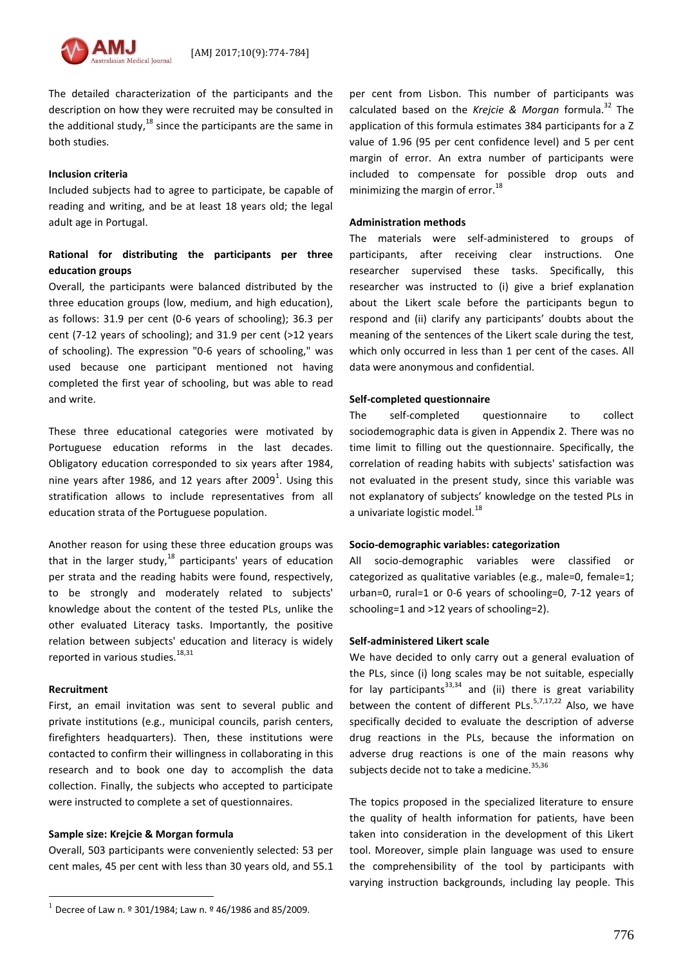The detailed characterization of the participants and the description on how they were recruited may be consulted in the additional study, <sup>18</sup> since the participants are the same in both studies.

### **Inclusion criteria**

Included subjects had to agree to participate, be capable of reading and writing, and be at least 18 years old; the legal adult age in Portugal.

# **Rational for distributing the participants per three education groups**

Overall, the participants were balanced distributed by the three education groups (low, medium, and high education), as follows: 31.9 per cent (0-6 years of schooling); 36.3 per cent (7-12 years of schooling); and 31.9 per cent (>12 years of schooling). The expression "0-6 years of schooling," was used because one participant mentioned not having completed the first year of schooling, but was able to read and write.

These three educational categories were motivated by Portuguese education reforms in the last decades. Obligatory education corresponded to six years after 1984, nine years after 1986, and 12 years after 2009<sup>1</sup>. Using this stratification allows to include representatives from all education strata of the Portuguese population.

Another reason for using these three education groups was that in the larger study, $^{18}$  participants' years of education per strata and the reading habits were found, respectively, to be strongly and moderately related to subjects' knowledge about the content of the tested PLs, unlike the other evaluated Literacy tasks. Importantly, the positive relation between subjects' education and literacy is widely reported in various studies.<sup>18,31</sup>

### **Recruitment**

 $\overline{a}$ 

First, an email invitation was sent to several public and private institutions (e.g., municipal councils, parish centers, firefighters headquarters). Then, these institutions were contacted to confirm their willingness in collaborating in this research and to book one day to accomplish the data collection. Finally, the subjects who accepted to participate were instructed to complete a set of questionnaires.

## **Sample size: Krejcie & Morgan formula**

Overall, 503 participants were conveniently selected: 53 per cent males, 45 per cent with less than 30 years old, and 55.1 per cent from Lisbon. This number of participants was calculated based on the *Krejcie & Morgan* formula.<sup>32</sup> The application of this formula estimates 384 participants for a Z value of 1.96 (95 per cent confidence level) and 5 per cent margin of error. An extra number of participants were included to compensate for possible drop outs and minimizing the margin of error.<sup>18</sup>

### **Administration methods**

The materials were self-administered to groups of participants, after receiving clear instructions. One researcher supervised these tasks. Specifically, this researcher was instructed to (i) give a brief explanation about the Likert scale before the participants begun to respond and (ii) clarify any participants' doubts about the meaning of the sentences of the Likert scale during the test, which only occurred in less than 1 per cent of the cases. All data were anonymous and confidential.

## **Self-completed questionnaire**

The self-completed questionnaire to collect sociodemographic data is given in Appendix 2. There was no time limit to filling out the questionnaire. Specifically, the correlation of reading habits with subjects' satisfaction was not evaluated in the present study, since this variable was not explanatory of subjects' knowledge on the tested PLs in a univariate logistic model. $^{18}$ 

## **Socio-demographic variables: categorization**

All socio-demographic variables were classified or categorized as qualitative variables (e.g., male=0, female=1; urban=0, rural=1 or 0-6 years of schooling=0, 7-12 years of schooling=1 and >12 years of schooling=2).

## **Self-administered Likert scale**

We have decided to only carry out a general evaluation of the PLs, since (i) long scales may be not suitable, especially for lay participants<sup>33,34</sup> and (ii) there is great variability between the content of different PLs.<sup>5,7,17,22</sup> Also, we have specifically decided to evaluate the description of adverse drug reactions in the PLs, because the information on adverse drug reactions is one of the main reasons why subjects decide not to take a medicine.  $35,36$ 

The topics proposed in the specialized literature to ensure the quality of health information for patients, have been taken into consideration in the development of this Likert tool. Moreover, simple plain language was used to ensure the comprehensibility of the tool by participants with varying instruction backgrounds, including lay people. This

<sup>&</sup>lt;sup>1</sup> Decree of Law n. <sup>o</sup> 301/1984; Law n. <sup>o</sup> 46/1986 and 85/2009.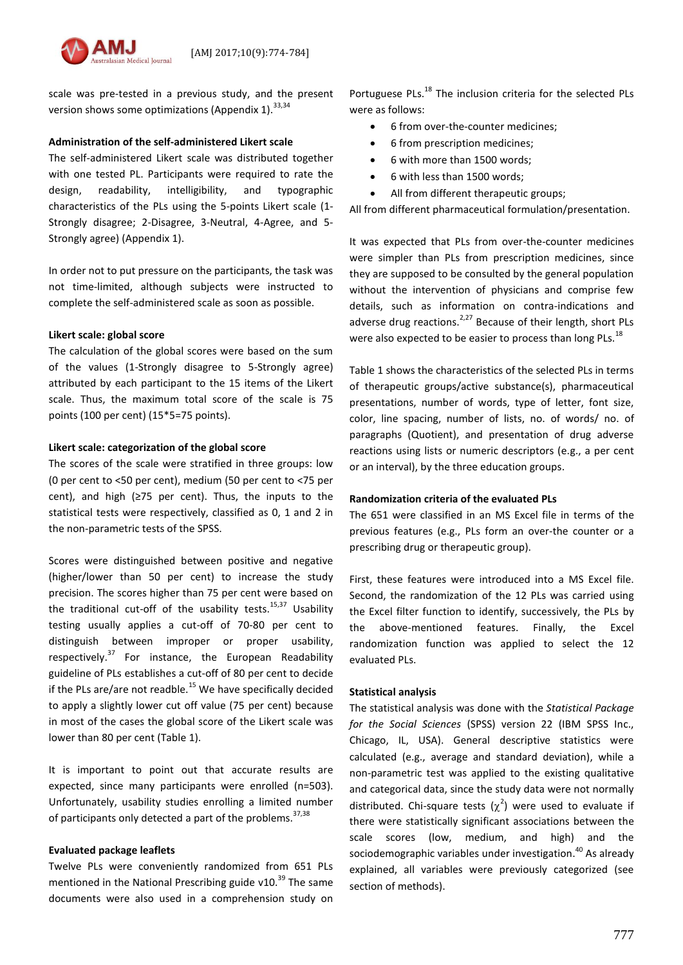

scale was pre-tested in a previous study, and the present version shows some optimizations (Appendix 1).  $33,34$ 

# **Administration of the self-administered Likert scale**

The self-administered Likert scale was distributed together with one tested PL. Participants were required to rate the design, readability, intelligibility, and typographic characteristics of the PLs using the 5-points Likert scale (1- Strongly disagree; 2-Disagree, 3-Neutral, 4-Agree, and 5- Strongly agree) (Appendix 1).

In order not to put pressure on the participants, the task was not time-limited, although subjects were instructed to complete the self-administered scale as soon as possible.

# **Likert scale: global score**

The calculation of the global scores were based on the sum of the values (1-Strongly disagree to 5-Strongly agree) attributed by each participant to the 15 items of the Likert scale. Thus, the maximum total score of the scale is 75 points (100 per cent) (15\*5=75 points).

# **Likert scale: categorization of the global score**

The scores of the scale were stratified in three groups: low (0 per cent to <50 per cent), medium (50 per cent to <75 per cent), and high (≥75 per cent). Thus, the inputs to the statistical tests were respectively, classified as 0, 1 and 2 in the non-parametric tests of the SPSS.

Scores were distinguished between positive and negative (higher/lower than 50 per cent) to increase the study precision. The scores higher than 75 per cent were based on the traditional cut-off of the usability tests.<sup>15,37</sup> Usability testing usually applies a cut-off of 70-80 per cent to distinguish between improper or proper usability, respectively.<sup>37</sup> For instance, the European Readability guideline of PLs establishes a cut-off of 80 per cent to decide if the PLs are/are not readble.<sup>15</sup> We have specifically decided to apply a slightly lower cut off value (75 per cent) because in most of the cases the global score of the Likert scale was lower than 80 per cent (Table 1).

It is important to point out that accurate results are expected, since many participants were enrolled (n=503). Unfortunately, usability studies enrolling a limited number of participants only detected a part of the problems.<sup>37,38</sup>

# **Evaluated package leaflets**

Twelve PLs were conveniently randomized from 651 PLs mentioned in the National Prescribing guide v10. $^{39}$  The same documents were also used in a comprehension study on

Portuguese PLs.<sup>18</sup> The inclusion criteria for the selected PLs were as follows:

- 6 from over-the-counter medicines;
- 6 from prescription medicines;
- 6 with more than 1500 words;
- 6 with less than 1500 words;
- All from different therapeutic groups;

All from different pharmaceutical formulation/presentation.

It was expected that PLs from over-the-counter medicines were simpler than PLs from prescription medicines, since they are supposed to be consulted by the general population without the intervention of physicians and comprise few details, such as information on contra-indications and adverse drug reactions.<sup>2,27</sup> Because of their length, short PLs were also expected to be easier to process than long PLs.<sup>18</sup>

Table 1 shows the characteristics of the selected PLs in terms of therapeutic groups/active substance(s), pharmaceutical presentations, number of words, type of letter, font size, color, line spacing, number of lists, no. of words/ no. of paragraphs (Quotient), and presentation of drug adverse reactions using lists or numeric descriptors (e.g., a per cent or an interval), by the three education groups.

# **Randomization criteria of the evaluated PLs**

The 651 were classified in an MS Excel file in terms of the previous features (e.g., PLs form an over-the counter or a prescribing drug or therapeutic group).

First, these features were introduced into a MS Excel file. Second, the randomization of the 12 PLs was carried using the Excel filter function to identify, successively, the PLs by the above-mentioned features. Finally, the Excel randomization function was applied to select the 12 evaluated PLs.

# **Statistical analysis**

The statistical analysis was done with the *Statistical Package for the Social Sciences* (SPSS) version 22 (IBM SPSS Inc., Chicago, IL, USA). General descriptive statistics were calculated (e.g., average and standard deviation), while a non-parametric test was applied to the existing qualitative and categorical data, since the study data were not normally distributed. Chi-square tests  $(\chi^2)$  were used to evaluate if there were statistically significant associations between the scale scores (low, medium, and high) and the sociodemographic variables under investigation. <sup>40</sup> As already explained, all variables were previously categorized (see section of methods).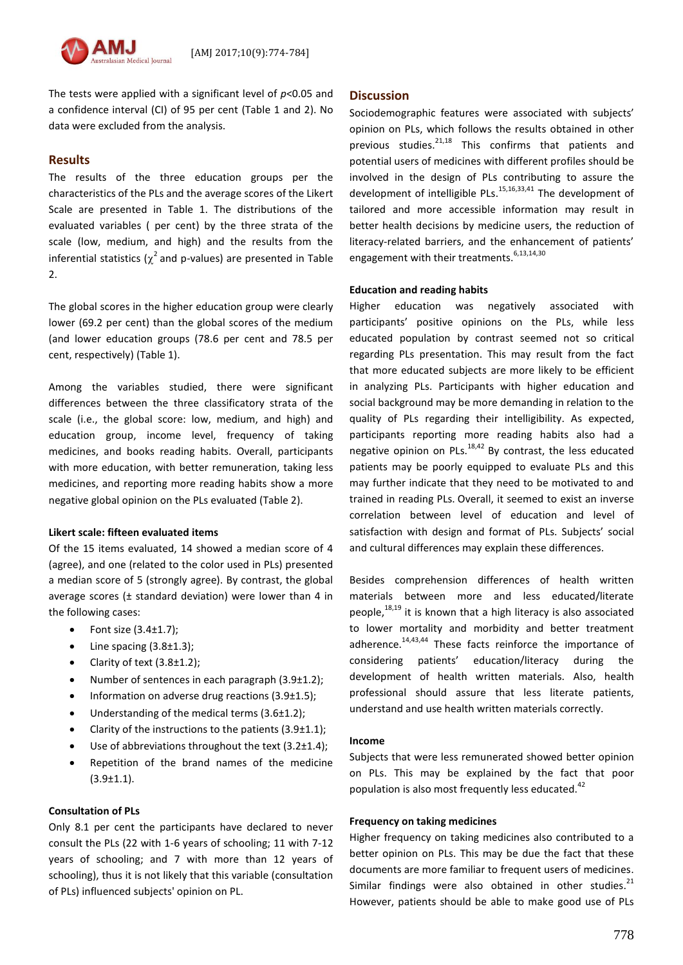

The tests were applied with a significant level of *p*<0.05 and a confidence interval (CI) of 95 per cent (Table 1 and 2). No data were excluded from the analysis.

## **Results**

The results of the three education groups per the characteristics of the PLs and the average scores of the Likert Scale are presented in Table 1. The distributions of the evaluated variables ( per cent) by the three strata of the scale (low, medium, and high) and the results from the inferential statistics ( $\chi^2$  and p-values) are presented in Table 2.

The global scores in the higher education group were clearly lower (69.2 per cent) than the global scores of the medium (and lower education groups (78.6 per cent and 78.5 per cent, respectively) (Table 1).

Among the variables studied, there were significant differences between the three classificatory strata of the scale (i.e., the global score: low, medium, and high) and education group, income level, frequency of taking medicines, and books reading habits. Overall, participants with more education, with better remuneration, taking less medicines, and reporting more reading habits show a more negative global opinion on the PLs evaluated (Table 2).

### **Likert scale: fifteen evaluated items**

Of the 15 items evaluated, 14 showed a median score of 4 (agree), and one (related to the color used in PLs) presented a median score of 5 (strongly agree). By contrast, the global average scores (± standard deviation) were lower than 4 in the following cases:

- Font size (3.4±1.7);
- Line spacing (3.8±1.3);
- Clarity of text (3.8±1.2);
- Number of sentences in each paragraph (3.9±1.2);
- Information on adverse drug reactions (3.9±1.5);
- Understanding of the medical terms (3.6±1.2);
- Clarity of the instructions to the patients (3.9±1.1);
- Use of abbreviations throughout the text (3.2±1.4);
- Repetition of the brand names of the medicine (3.9±1.1).

## **Consultation of PLs**

Only 8.1 per cent the participants have declared to never consult the PLs (22 with 1-6 years of schooling; 11 with 7-12 years of schooling; and 7 with more than 12 years of schooling), thus it is not likely that this variable (consultation of PLs) influenced subjects' opinion on PL.

### **Discussion**

Sociodemographic features were associated with subjects' opinion on PLs, which follows the results obtained in other previous studies.<sup>21,18</sup> This confirms that patients and potential users of medicines with different profiles should be involved in the design of PLs contributing to assure the development of intelligible PLs.<sup>15,16,33,41</sup> The development of tailored and more accessible information may result in better health decisions by medicine users, the reduction of literacy-related barriers, and the enhancement of patients' engagement with their treatments.<sup>6,13,14,30</sup>

### **Education and reading habits**

Higher education was negatively associated with participants' positive opinions on the PLs, while less educated population by contrast seemed not so critical regarding PLs presentation. This may result from the fact that more educated subjects are more likely to be efficient in analyzing PLs. Participants with higher education and social background may be more demanding in relation to the quality of PLs regarding their intelligibility. As expected, participants reporting more reading habits also had a negative opinion on PLs. $18,42$  By contrast, the less educated patients may be poorly equipped to evaluate PLs and this may further indicate that they need to be motivated to and trained in reading PLs. Overall, it seemed to exist an inverse correlation between level of education and level of satisfaction with design and format of PLs. Subjects' social and cultural differences may explain these differences.

Besides comprehension differences of health written materials between more and less educated/literate people,<sup>18,19</sup> it is known that a high literacy is also associated to lower mortality and morbidity and better treatment adherence. $14,43,44$  These facts reinforce the importance of considering patients' education/literacy during the development of health written materials. Also, health professional should assure that less literate patients, understand and use health written materials correctly.

### **Income**

Subjects that were less remunerated showed better opinion on PLs. This may be explained by the fact that poor population is also most frequently less educated.<sup>42</sup>

## **Frequency on taking medicines**

Higher frequency on taking medicines also contributed to a better opinion on PLs. This may be due the fact that these documents are more familiar to frequent users of medicines. Similar findings were also obtained in other studies. $21$ However, patients should be able to make good use of PLs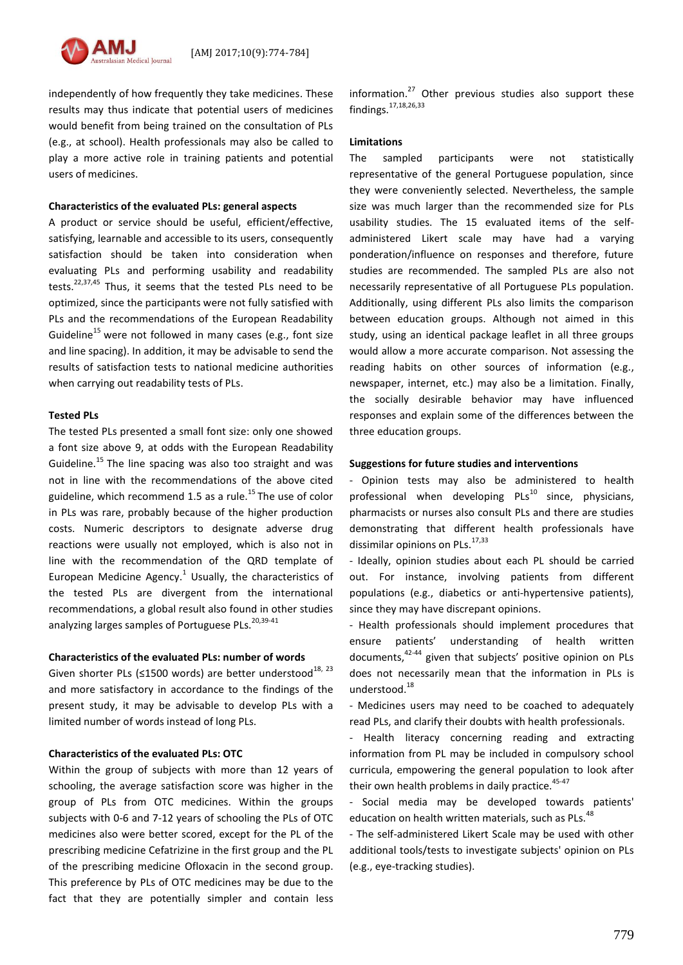

independently of how frequently they take medicines. These results may thus indicate that potential users of medicines would benefit from being trained on the consultation of PLs (e.g., at school). Health professionals may also be called to play a more active role in training patients and potential users of medicines.

### **Characteristics of the evaluated PLs: general aspects**

A product or service should be useful, efficient/effective, satisfying, learnable and accessible to its users, consequently satisfaction should be taken into consideration when evaluating PLs and performing usability and readability tests.<sup>22,37,45</sup> Thus, it seems that the tested PLs need to be optimized, since the participants were not fully satisfied with PLs and the recommendations of the European Readability Guideline<sup>15</sup> were not followed in many cases (e.g., font size and line spacing). In addition, it may be advisable to send the results of satisfaction tests to national medicine authorities when carrying out readability tests of PLs.

### **Tested PLs**

The tested PLs presented a small font size: only one showed a font size above 9, at odds with the European Readability Guideline.<sup>15</sup> The line spacing was also too straight and was not in line with the recommendations of the above cited guideline, which recommend 1.5 as a rule.<sup>15</sup> The use of color in PLs was rare, probably because of the higher production costs. Numeric descriptors to designate adverse drug reactions were usually not employed, which is also not in line with the recommendation of the QRD template of European Medicine Agency. $^1$  Usually, the characteristics of the tested PLs are divergent from the international recommendations, a global result also found in other studies analyzing larges samples of Portuguese PLs.<sup>20,39-41</sup>

### **Characteristics of the evaluated PLs: number of words**

Given shorter PLs (≤1500 words) are better understood<sup>18, 23</sup> and more satisfactory in accordance to the findings of the present study, it may be advisable to develop PLs with a limited number of words instead of long PLs.

### **Characteristics of the evaluated PLs: OTC**

Within the group of subjects with more than 12 years of schooling, the average satisfaction score was higher in the group of PLs from OTC medicines. Within the groups subjects with 0-6 and 7-12 years of schooling the PLs of OTC medicines also were better scored, except for the PL of the prescribing medicine Cefatrizine in the first group and the PL of the prescribing medicine Ofloxacin in the second group. This preference by PLs of OTC medicines may be due to the fact that they are potentially simpler and contain less

information. $27$  Other previous studies also support these findings.17,18,26,33

### **Limitations**

The sampled participants were not statistically representative of the general Portuguese population, since they were conveniently selected. Nevertheless, the sample size was much larger than the recommended size for PLs usability studies. The 15 evaluated items of the selfadministered Likert scale may have had a varying ponderation/influence on responses and therefore, future studies are recommended. The sampled PLs are also not necessarily representative of all Portuguese PLs population. Additionally, using different PLs also limits the comparison between education groups. Although not aimed in this study, using an identical package leaflet in all three groups would allow a more accurate comparison. Not assessing the reading habits on other sources of information (e.g., newspaper, internet, etc.) may also be a limitation. Finally, the socially desirable behavior may have influenced responses and explain some of the differences between the three education groups.

## **Suggestions for future studies and interventions**

- Opinion tests may also be administered to health professional when developing  $PLS^{10}$  since, physicians, pharmacists or nurses also consult PLs and there are studies demonstrating that different health professionals have dissimilar opinions on PLs. $^{17,33}$ 

- Ideally, opinion studies about each PL should be carried out. For instance, involving patients from different populations (e.g., diabetics or anti-hypertensive patients), since they may have discrepant opinions.

- Health professionals should implement procedures that ensure patients' understanding of health written documents, 42-44 given that subjects' positive opinion on PLs does not necessarily mean that the information in PLs is understood. 18

- Medicines users may need to be coached to adequately read PLs, and clarify their doubts with health professionals.

- Health literacy concerning reading and extracting information from PL may be included in compulsory school curricula, empowering the general population to look after their own health problems in daily practice. $45-47$ 

- Social media may be developed towards patients' education on health written materials, such as PLs.<sup>48</sup>

- The self-administered Likert Scale may be used with other additional tools/tests to investigate subjects' opinion on PLs (e.g., eye-tracking studies).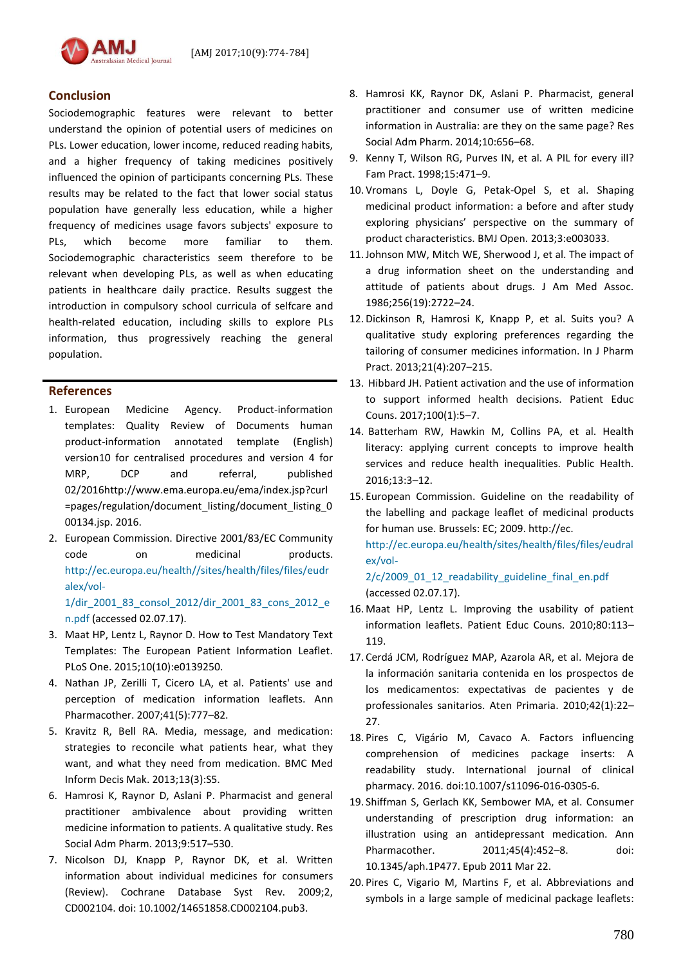

## **Conclusion**

Sociodemographic features were relevant to better understand the opinion of potential users of medicines on PLs. Lower education, lower income, reduced reading habits, and a higher frequency of taking medicines positively influenced the opinion of participants concerning PLs. These results may be related to the fact that lower social status population have generally less education, while a higher frequency of medicines usage favors subjects' exposure to PLs, which become more familiar to them. Sociodemographic characteristics seem therefore to be relevant when developing PLs, as well as when educating patients in healthcare daily practice. Results suggest the introduction in compulsory school curricula of selfcare and health-related education, including skills to explore PLs information, thus progressively reaching the general population.

## **References**

- 1. European Medicine Agency. Product-information templates: Quality Review of Documents human product-information annotated template (English) version10 for centralised procedures and version 4 for MRP, DCP and referral, published 02/2016http://www.ema.europa.eu/ema/index.jsp?curl =pages/regulation/document\_listing/document\_listing\_0 00134.jsp. 2016.
- 2. European Commission. Directive 2001/83/EC Community code on medicinal products. [http://ec.europa.eu/health//sites/health/files/files/eudr](http://ec.europa.eu/health/sites/health/files/files/eudralex/vol-1/dir_2001_83_consol_2012/dir_2001_83_cons_2012_en.pdf) [alex/vol-](http://ec.europa.eu/health/sites/health/files/files/eudralex/vol-1/dir_2001_83_consol_2012/dir_2001_83_cons_2012_en.pdf)[1/dir\\_2001\\_83\\_consol\\_2012/dir\\_2001\\_83\\_cons\\_2012\\_e](http://ec.europa.eu/health/sites/health/files/files/eudralex/vol-1/dir_2001_83_consol_2012/dir_2001_83_cons_2012_en.pdf)

[n.pdf](http://ec.europa.eu/health/sites/health/files/files/eudralex/vol-1/dir_2001_83_consol_2012/dir_2001_83_cons_2012_en.pdf) (accessed 02.07.17).

- 3. Maat HP, Lentz L, Raynor D. How to Test Mandatory Text Templates: The European Patient Information Leaflet. PLoS One. 2015;10(10):e0139250.
- 4. Nathan JP, Zerilli T, Cicero LA, et al. Patients' use and perception of medication information leaflets. Ann Pharmacother. 2007;41(5):777–82.
- 5. Kravitz R, Bell RA. Media, message, and medication: strategies to reconcile what patients hear, what they want, and what they need from medication. BMC Med Inform Decis Mak. 2013;13(3):S5.
- 6. Hamrosi K, Raynor D, Aslani P. Pharmacist and general practitioner ambivalence about providing written medicine information to patients. A qualitative study. Res Social Adm Pharm. 2013;9:517–530.
- 7. Nicolson DJ, Knapp P, Raynor DK, et al. Written information about individual medicines for consumers (Review). Cochrane Database Syst Rev. 2009;2, CD002104. doi: 10.1002/14651858.CD002104.pub3.
- 8. Hamrosi KK, Raynor DK, Aslani P. Pharmacist, general practitioner and consumer use of written medicine information in Australia: are they on the same page? Res Social Adm Pharm. 2014;10:656–68.
- 9. Kenny T, Wilson RG, Purves IN, et al. A PIL for every ill? Fam Pract. 1998;15:471–9.
- 10. Vromans L, Doyle G, Petak-Opel S, et al. Shaping medicinal product information: a before and after study exploring physicians' perspective on the summary of product characteristics. BMJ Open. 2013;3:e003033.
- 11.Johnson MW, Mitch WE, Sherwood J, et al. The impact of a drug information sheet on the understanding and attitude of patients about drugs. J Am Med Assoc. 1986;256(19):2722–24.
- 12. Dickinson R, Hamrosi K, Knapp P, et al. Suits you? A qualitative study exploring preferences regarding the tailoring of consumer medicines information. In J Pharm Pract. 2013;21(4):207–215.
- 13. Hibbard JH. Patient activation and the use of information to support informed health decisions. Patient Educ Couns. 2017;100(1):5–7.
- 14. Batterham RW, Hawkin M, Collins PA, et al. Health literacy: applying current concepts to improve health services and reduce health inequalities. Public Health. 2016;13:3–12.
- 15. European Commission. Guideline on the readability of the labelling and package leaflet of medicinal products for human use. Brussels: EC; 2009. http://ec. [http://ec.europa.eu/health/sites/health/files/files/eudral](http://ec.europa.eu/health/sites/health/files/files/eudralex/vol-2/c/2009_01_12_readability_guideline_final_en.pdf) [ex/vol-](http://ec.europa.eu/health/sites/health/files/files/eudralex/vol-2/c/2009_01_12_readability_guideline_final_en.pdf)

[2/c/2009\\_01\\_12\\_readability\\_guideline\\_final\\_en.pdf](http://ec.europa.eu/health/sites/health/files/files/eudralex/vol-2/c/2009_01_12_readability_guideline_final_en.pdf) (accessed 02.07.17).

- 16. Maat HP, Lentz L. Improving the usability of patient information leaflets. Patient Educ Couns. 2010;80:113– 119.
- 17. Cerdá JCM, Rodríguez MAP, Azarola AR, et al. Mejora de la información sanitaria contenida en los prospectos de los medicamentos: expectativas de pacientes y de professionales sanitarios. Aten Primaria. 2010;42(1):22– 27.
- 18. Pires C, Vigário M, Cavaco A. Factors influencing comprehension of medicines package inserts: A readability study. International journal of clinical pharmacy. 2016. doi:10.1007/s11096-016-0305-6.
- 19. Shiffman S, Gerlach KK, Sembower MA, et al. Consumer understanding of prescription drug information: an illustration using an antidepressant medication. Ann Pharmacother. 2011;45(4):452–8. doi: 10.1345/aph.1P477. Epub 2011 Mar 22.
- 20. Pires C, Vigario M, Martins F, et al. Abbreviations and symbols in a large sample of medicinal package leaflets: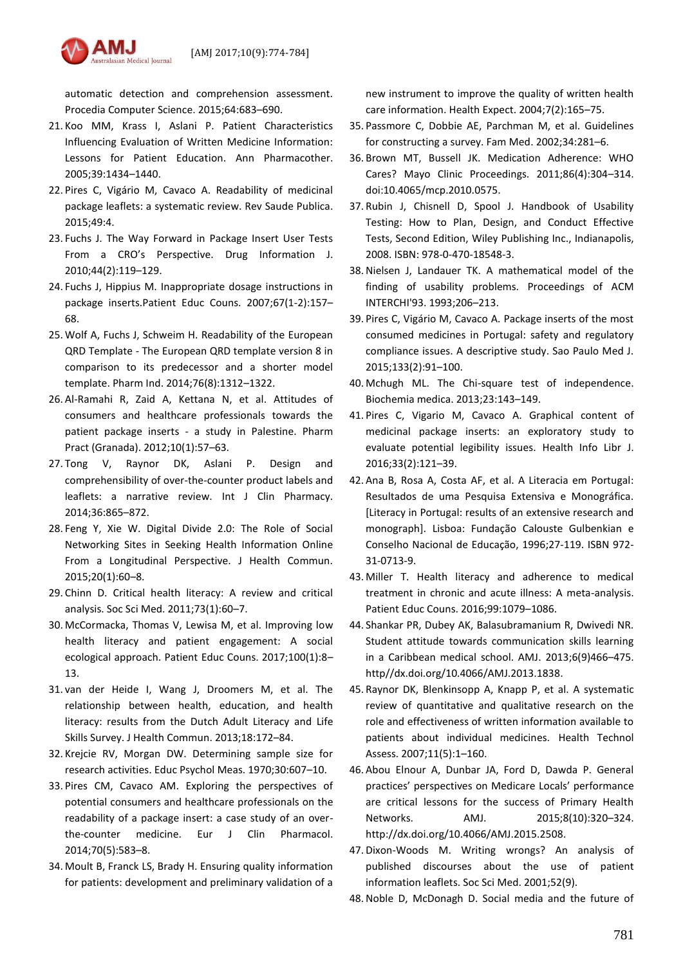

automatic detection and comprehension assessment. Procedia Computer Science. 2015;64:683–690.

- 21. Koo MM, Krass I, Aslani P. Patient Characteristics Influencing Evaluation of Written Medicine Information: Lessons for Patient Education. Ann Pharmacother. 2005;39:1434–1440.
- 22. Pires C, Vigário M, Cavaco A. Readability of medicinal package leaflets: a systematic review. Rev Saude Publica. 2015;49:4.
- 23. Fuchs J. The Way Forward in Package Insert User Tests From a CRO's Perspective. Drug Information J. 2010;44(2):119–129.
- 24. Fuchs J, Hippius M. Inappropriate dosage instructions in package inserts.Patient Educ Couns. 2007;67(1-2):157– 68.
- 25. Wolf A, Fuchs J, Schweim H. Readability of the European QRD Template - The European QRD template version 8 in comparison to its predecessor and a shorter model template. Pharm Ind. 2014;76(8):1312–1322.
- 26. Al-Ramahi R, Zaid A, Kettana N, et al. Attitudes of consumers and healthcare professionals towards the patient package inserts - a study in Palestine. Pharm Pract (Granada). 2012;10(1):57–63.
- 27. Tong V, Raynor DK, Aslani P. Design and comprehensibility of over-the-counter product labels and leaflets: a narrative review. Int J Clin Pharmacy. 2014;36:865–872.
- 28. Feng Y, Xie W. Digital Divide 2.0: The Role of Social Networking Sites in Seeking Health Information Online From a Longitudinal Perspective. J Health Commun. 2015;20(1):60–8.
- 29. Chinn D. Critical health literacy: A review and critical analysis. Soc Sci Med. 2011;73(1):60–7.
- 30. McCormacka, Thomas V, Lewisa M, et al. Improving low health literacy and patient engagement: A social ecological approach. Patient Educ Couns. 2017;100(1):8– 13.
- 31. van der Heide I, Wang J, Droomers M, et al. The relationship between health, education, and health literacy: results from the Dutch Adult Literacy and Life Skills Survey. J Health Commun. 2013;18:172–84.
- 32. Krejcie RV, Morgan DW. Determining sample size for research activities. Educ Psychol Meas. 1970;30:607–10.
- 33. Pires CM, Cavaco AM. Exploring the perspectives of potential consumers and healthcare professionals on the readability of a package insert: a case study of an overthe-counter medicine. Eur J Clin Pharmacol. 2014;70(5):583–8.
- 34. Moult B, Franck LS, Brady H. Ensuring quality information for patients: development and preliminary validation of a

new instrument to improve the quality of written health care information. Health Expect. 2004;7(2):165–75.

- 35. Passmore C, Dobbie AE, Parchman M, et al. Guidelines for constructing a survey. Fam Med. 2002;34:281–6.
- 36. Brown MT, Bussell JK. Medication Adherence: WHO Cares? Mayo Clinic Proceedings. 2011;86(4):304–314. doi:10.4065/mcp.2010.0575.
- 37. Rubin J, Chisnell D, Spool J. Handbook of Usability Testing: How to Plan, Design, and Conduct Effective Tests, Second Edition, Wiley Publishing Inc., Indianapolis, 2008. ISBN: 978-0-470-18548-3.
- 38.Nielsen J, Landauer TK. A mathematical model of the finding of usability problems. Proceedings of ACM INTERCHI'93. 1993;206–213.
- 39. Pires C, Vigário M, Cavaco A. Package inserts of the most consumed medicines in Portugal: safety and regulatory compliance issues. A descriptive study. Sao Paulo Med J. 2015;133(2):91–100.
- 40. Mchugh ML. The Chi-square test of independence. Biochemia medica. 2013;23:143–149.
- 41. Pires C, Vigario M, Cavaco A. Graphical content of medicinal package inserts: an exploratory study to evaluate potential legibility issues. Health Info Libr J. 2016;33(2):121–39.
- 42. Ana B, Rosa A, Costa AF, et al. A Literacia em Portugal: Resultados de uma Pesquisa Extensiva e Monográfica. [Literacy in Portugal: results of an extensive research and monograph]. Lisboa: Fundação Calouste Gulbenkian e Conselho Nacional de Educação, 1996;27-119. ISBN 972- 31-0713-9.
- 43. Miller T. Health literacy and adherence to medical treatment in chronic and acute illness: A meta-analysis. Patient Educ Couns. 2016;99:1079–1086.
- 44. Shankar PR, Dubey AK, Balasubramanium R, Dwivedi NR. Student attitude towards communication skills learning in a Caribbean medical school. AMJ. 2013;6(9)466–475. http//dx.doi.org/10.4066/AMJ.2013.1838.
- 45. Raynor DK, Blenkinsopp A, Knapp P, et al. A systematic review of quantitative and qualitative research on the role and effectiveness of written information available to patients about individual medicines. Health Technol Assess. 2007;11(5):1–160.
- 46. Abou Elnour A, Dunbar JA, Ford D, Dawda P. General practices' perspectives on Medicare Locals' performance are critical lessons for the success of Primary Health Networks. AMJ. 2015;8(10):320–324. http://dx.doi.org/10.4066/AMJ.2015.2508.
- 47. Dixon-Woods M. Writing wrongs? An analysis of published discourses about the use of patient information leaflets. Soc Sci Med. 2001;52(9).
- 48.Noble D, McDonagh D. Social media and the future of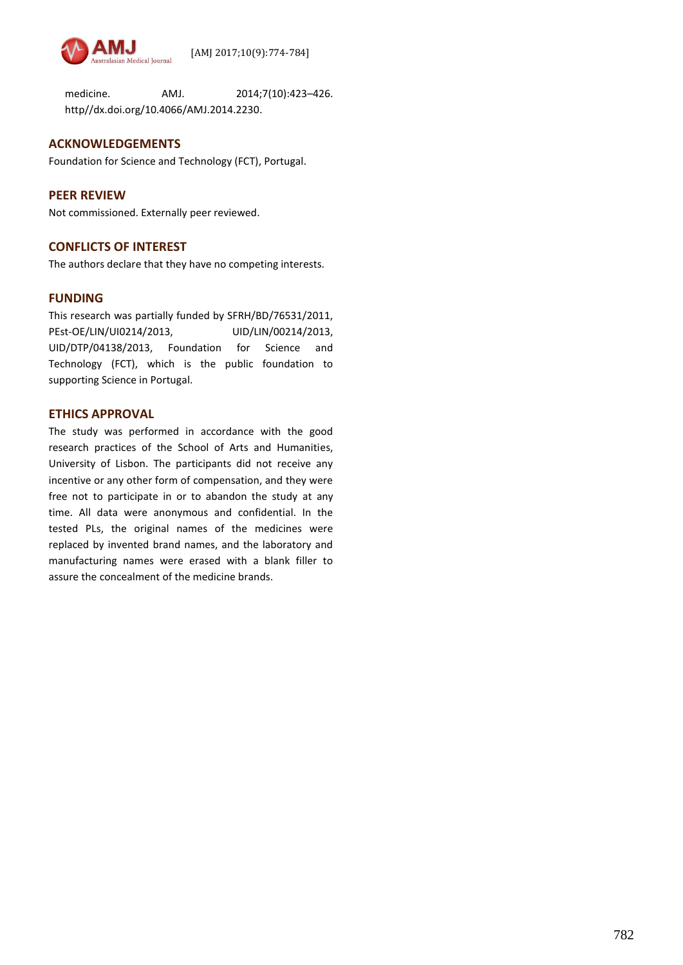

medicine. AMJ. 2014;7(10):423–426. http//dx.doi.org/10.4066/AMJ.2014.2230.

## **ACKNOWLEDGEMENTS**

Foundation for Science and Technology (FCT), Portugal.

# **PEER REVIEW**

Not commissioned. Externally peer reviewed.

# **CONFLICTS OF INTEREST**

The authors declare that they have no competing interests.

# **FUNDING**

This research was partially funded by SFRH/BD/76531/2011, PEst-OE/LIN/UI0214/2013, UID/LIN/00214/2013, UID/DTP/04138/2013, Foundation for Science and Technology (FCT), which is the public foundation to supporting Science in Portugal.

# **ETHICS APPROVAL**

The study was performed in accordance with the good research practices of the School of Arts and Humanities, University of Lisbon. The participants did not receive any incentive or any other form of compensation, and they were free not to participate in or to abandon the study at any time. All data were anonymous and confidential. In the tested PLs, the original names of the medicines were replaced by invented brand names, and the laboratory and manufacturing names were erased with a blank filler to assure the concealment of the medicine brands.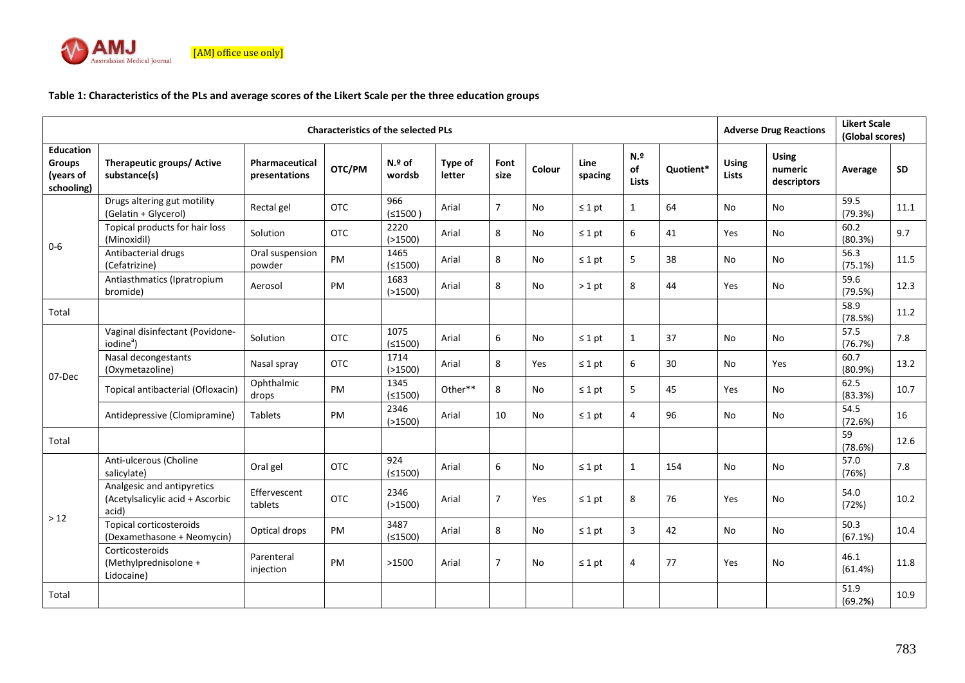

# **Table 1: Characteristics of the PLs and average scores of the Likert Scale per the three education groups**

| <b>Characteristics of the selected PLs</b>                   |                                                                         |                                        |            |                   |                          |                |        |                 | <b>Adverse Drug Reactions</b> |           | <b>Likert Scale</b><br>(Global scores) |                                        |                 |      |
|--------------------------------------------------------------|-------------------------------------------------------------------------|----------------------------------------|------------|-------------------|--------------------------|----------------|--------|-----------------|-------------------------------|-----------|----------------------------------------|----------------------------------------|-----------------|------|
| <b>Education</b><br><b>Groups</b><br>(years of<br>schooling) | Therapeutic groups/ Active<br>substance(s)                              | <b>Pharmaceutical</b><br>presentations | OTC/PM     | $N2$ of<br>wordsb | <b>Type of</b><br>letter | Font<br>size   | Colour | Line<br>spacing | N.9<br>of<br>Lists            | Ouotient* | <b>Using</b><br><b>Lists</b>           | <b>Using</b><br>numeric<br>descriptors | Average         | SD   |
| $0-6$                                                        | Drugs altering gut motility<br>(Gelatin + Glycerol)                     | Rectal gel                             | <b>OTC</b> | 966<br>(≤1500)    | Arial                    | $\overline{7}$ | No     | $\leq 1$ pt     | $\mathbf{1}$                  | 64        | No                                     | No                                     | 59.5<br>(79.3%) | 11.1 |
|                                                              | Topical products for hair loss<br>(Minoxidil)                           | Solution                               | <b>OTC</b> | 2220<br>( > 1500) | Arial                    | 8              | No     | $\leq 1$ pt     | 6                             | 41        | Yes                                    | No                                     | 60.2<br>(80.3%) | 9.7  |
|                                                              | Antibacterial drugs<br>(Cefatrizine)                                    | Oral suspension<br>powder              | <b>PM</b>  | 1465<br>(≤1500)   | Arial                    | 8              | No     | $\leq 1$ pt     | 5                             | 38        | No                                     | <b>No</b>                              | 56.3<br>(75.1%) | 11.5 |
|                                                              | Antiasthmatics (Ipratropium<br>bromide)                                 | Aerosol                                | <b>PM</b>  | 1683<br>( > 1500) | Arial                    | 8              | No     | $>1$ pt         | 8                             | 44        | Yes                                    | No                                     | 59.6<br>(79.5%) | 12.3 |
| Total                                                        |                                                                         |                                        |            |                   |                          |                |        |                 |                               |           |                                        |                                        | 58.9<br>(78.5%) | 11.2 |
| 07-Dec                                                       | Vaginal disinfectant (Povidone-<br>iodine <sup>ª</sup> )                | Solution                               | <b>OTC</b> | 1075<br>(≤1500)   | Arial                    | 6              | No     | $\leq 1$ pt     | $\mathbf{1}$                  | 37        | No                                     | No                                     | 57.5<br>(76.7%) | 7.8  |
|                                                              | Nasal decongestants<br>(Oxymetazoline)                                  | Nasal spray                            | OTC        | 1714<br>( > 1500) | Arial                    | 8              | Yes    | $\leq 1$ pt     | 6                             | 30        | <b>No</b>                              | Yes                                    | 60.7<br>(80.9%) | 13.2 |
|                                                              | Topical antibacterial (Ofloxacin)                                       | Ophthalmic<br>drops                    | PM         | 1345<br>(≤1500)   | Other**                  | 8              | No     | $\leq 1$ pt     | 5                             | 45        | Yes                                    | No                                     | 62.5<br>(83.3%) | 10.7 |
|                                                              | Antidepressive (Clomipramine)                                           | <b>Tablets</b>                         | PM         | 2346<br>( > 1500) | Arial                    | 10             | No     | $\leq 1$ pt     | 4                             | 96        | <b>No</b>                              | No                                     | 54.5<br>(72.6%) | 16   |
| Total                                                        |                                                                         |                                        |            |                   |                          |                |        |                 |                               |           |                                        |                                        | 59<br>(78.6%)   | 12.6 |
| >12                                                          | Anti-ulcerous (Choline<br>salicylate)                                   | Oral gel                               | OTC        | 924<br>(≤1500)    | Arial                    | 6              | No     | $\leq 1$ pt     | $\mathbf{1}$                  | 154       | No                                     | No                                     | 57.0<br>(76%)   | 7.8  |
|                                                              | Analgesic and antipyretics<br>(Acetylsalicylic acid + Ascorbic<br>acid) | Effervescent<br>tablets                | <b>OTC</b> | 2346<br>( > 1500) | Arial                    | 7              | Yes    | $\leq 1$ pt     | 8                             | 76        | Yes                                    | No                                     | 54.0<br>(72%)   | 10.2 |
|                                                              | Topical corticosteroids<br>(Dexamethasone + Neomycin)                   | Optical drops                          | PM         | 3487<br>(≤1500)   | Arial                    | 8              | No     | $\leq 1$ pt     | 3                             | 42        | No                                     | <b>No</b>                              | 50.3<br>(67.1%) | 10.4 |
|                                                              | Corticosteroids<br>(Methylprednisolone +<br>Lidocaine)                  | Parenteral<br>injection                | PM         | >1500             | Arial                    | $\overline{7}$ | No     | $\leq 1$ pt     | 4                             | 77        | Yes                                    | No                                     | 46.1<br>(61.4%) | 11.8 |
| Total                                                        |                                                                         |                                        |            |                   |                          |                |        |                 |                               |           |                                        |                                        | 51.9<br>(69.2%) | 10.9 |